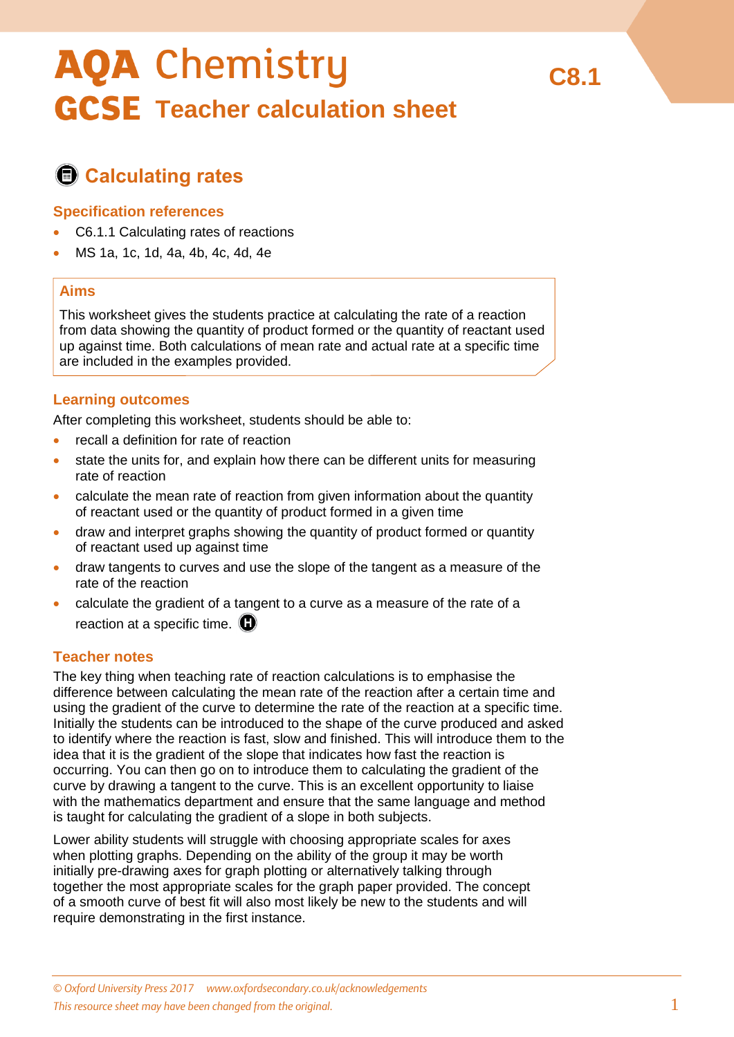# **AQA Chemistry GCSE** Teacher calculation sheet

# **Calculating rates**

### **Specification references**

- C6.1.1 Calculating rates of reactions
- MS 1a, 1c, 1d, 4a, 4b, 4c, 4d, 4e

### **Aims**

This worksheet gives the students practice at calculating the rate of a reaction from data showing the quantity of product formed or the quantity of reactant used up against time. Both calculations of mean rate and actual rate at a specific time are included in the examples provided.

## **Learning outcomes**

After completing this worksheet, students should be able to:

- recall a definition for rate of reaction
- state the units for, and explain how there can be different units for measuring rate of reaction
- calculate the mean rate of reaction from given information about the quantity of reactant used or the quantity of product formed in a given time
- draw and interpret graphs showing the quantity of product formed or quantity of reactant used up against time
- draw tangents to curves and use the slope of the tangent as a measure of the rate of the reaction
- calculate the gradient of a tangent to a curve as a measure of the rate of a reaction at a specific time.  $\mathbf \Omega$

#### **Teacher notes**

The key thing when teaching rate of reaction calculations is to emphasise the difference between calculating the mean rate of the reaction after a certain time and using the gradient of the curve to determine the rate of the reaction at a specific time. Initially the students can be introduced to the shape of the curve produced and asked to identify where the reaction is fast, slow and finished. This will introduce them to the idea that it is the gradient of the slope that indicates how fast the reaction is occurring. You can then go on to introduce them to calculating the gradient of the curve by drawing a tangent to the curve. This is an excellent opportunity to liaise with the mathematics department and ensure that the same language and method is taught for calculating the gradient of a slope in both subjects.

Lower ability students will struggle with choosing appropriate scales for axes when plotting graphs. Depending on the ability of the group it may be worth initially pre-drawing axes for graph plotting or alternatively talking through together the most appropriate scales for the graph paper provided. The concept of a smooth curve of best fit will also most likely be new to the students and will require demonstrating in the first instance.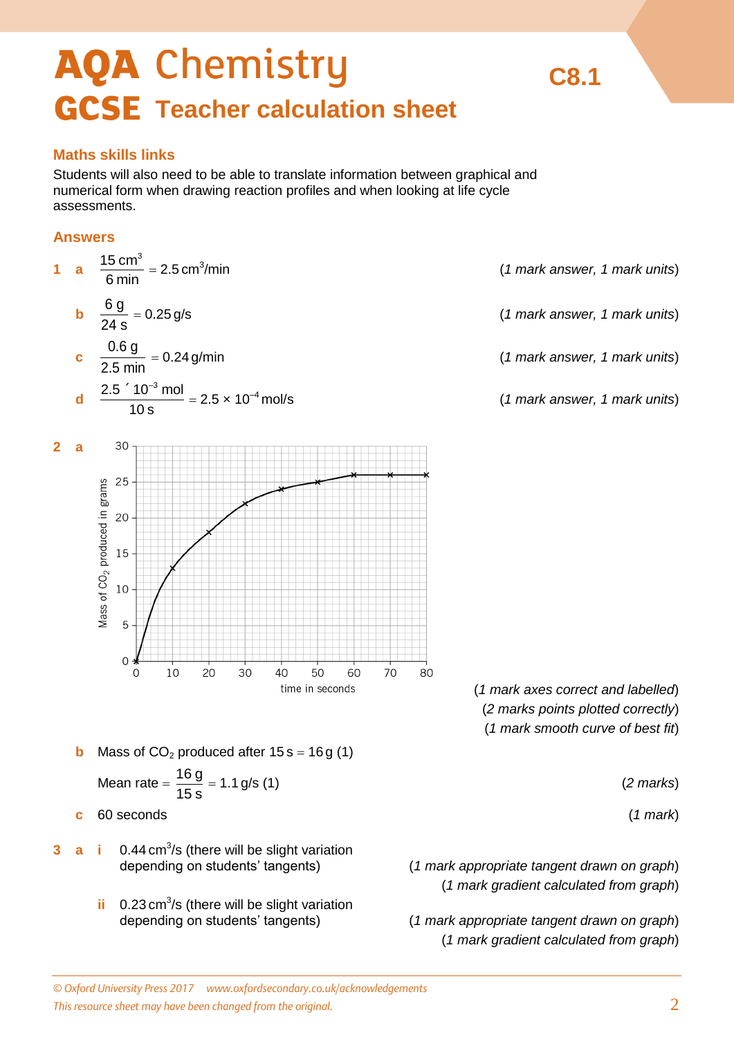# **AQA Chemistry GCSE** Teacher calculation sheet

# **Maths skills links**

Students will also need to be able to translate information between graphical and numerical form when drawing reaction profiles and when looking at life cycle assessments.

# **Answers**



**ii** 0.23 cm<sup>3</sup>/s (there will be slight variation

depending on students' tangents) (*1 mark appropriate tangent drawn on graph*) (*1 mark gradient calculated from graph*)

**C8.1**

*© Oxford University Press 2017 [www.oxfordsecondary.co.uk/acknowledgements](http://www.oxfordsecondary.co.uk/acknowledgements) This resource sheet may have been changed from the original.* 2